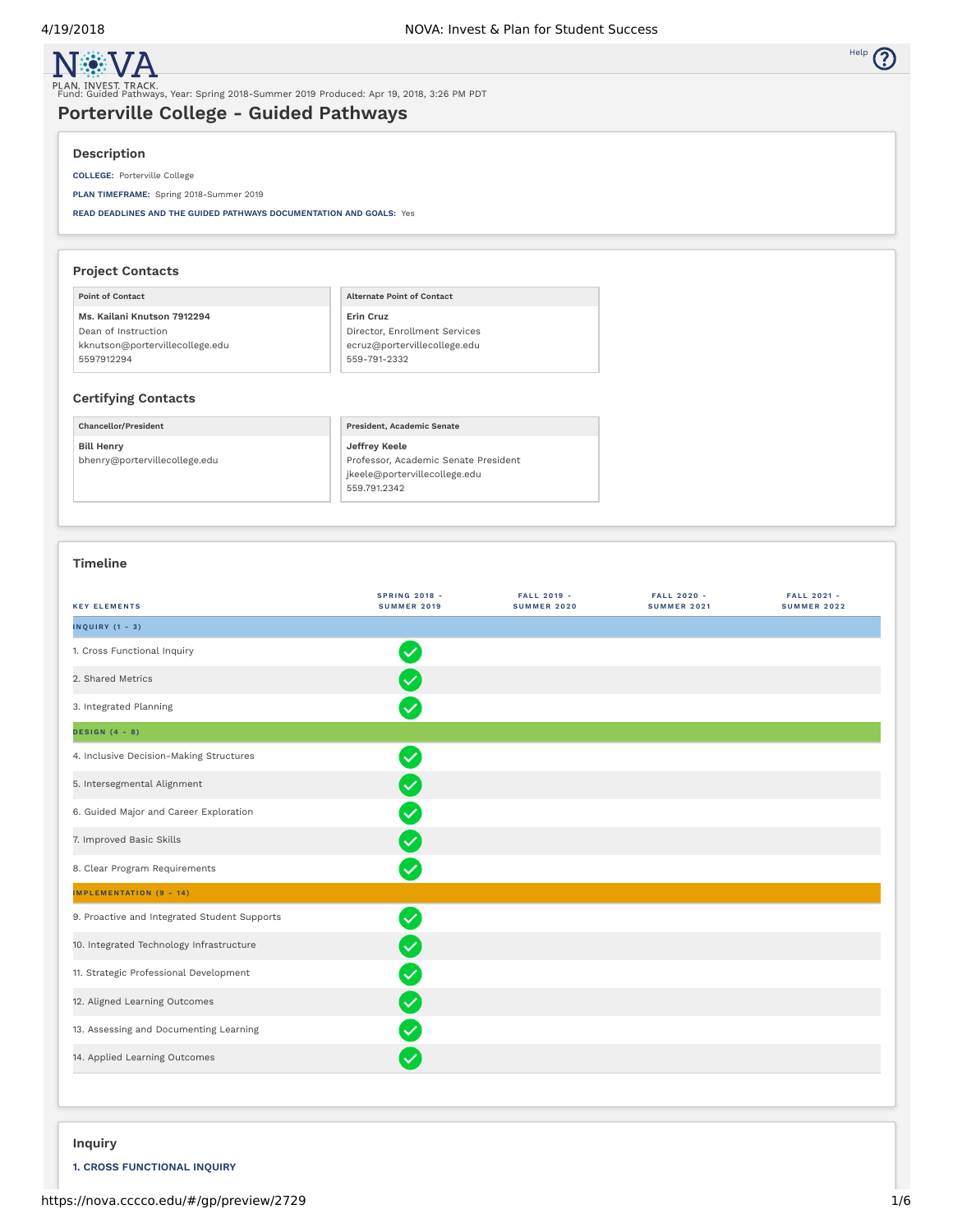

**N** VA

# Fund: Guided Pathways, Year: Spring 2018-Summer 2019 Produced: Apr 19, 2018, 3:26 PM PDT

# **Porterville College - Guided Pathways**

# **Description**

**COLLEGE:** Porterville College

**PLAN TIMEFRAME:** Spring 2018-Summer 2019

**READ DEADLINES AND THE GUIDED PATHWAYS DOCUMENTATION AND GOALS:** Yes

| <b>Project Contacts</b>         |                                   |
|---------------------------------|-----------------------------------|
| <b>Point of Contact</b>         | <b>Alternate Point of Contact</b> |
| Ms. Kailani Knutson 7912294     | Erin Cruz                         |
| Dean of Instruction             | Director, Enrollment Services     |
| kknutson@portervillecollege.edu | ecruz@portervillecollege.edu      |
| 5597912294                      | 559-791-2332                      |

# **Certifying Contacts**

**Chancellor/President Bill Henry** bhenry@portervillecollege.edu **President, Academic Senate Jeffrey Keele** Professor, Academic Senate President jkeele@portervillecollege.edu 559.791.2342

# **Timeline**

| <b>KEY ELEMENTS</b>                          | <b>SPRING 2018 -</b><br><b>SUMMER 2019</b> | <b>FALL 2019 -</b><br><b>SUMMER 2020</b> | <b>FALL 2020 -</b><br><b>SUMMER 2021</b> | <b>FALL 2021 -</b><br><b>SUMMER 2022</b> |
|----------------------------------------------|--------------------------------------------|------------------------------------------|------------------------------------------|------------------------------------------|
| <b>INQUIRY (1 - 3)</b>                       |                                            |                                          |                                          |                                          |
| 1. Cross Functional Inquiry                  | $\checkmark$                               |                                          |                                          |                                          |
| 2. Shared Metrics                            | $\checkmark$                               |                                          |                                          |                                          |
| 3. Integrated Planning                       | $\overline{\mathsf{v}}$                    |                                          |                                          |                                          |
| <b>DESIGN</b> (4 - 8)                        |                                            |                                          |                                          |                                          |
| 4. Inclusive Decision-Making Structures      | $\overline{\mathsf{v}}$                    |                                          |                                          |                                          |
| 5. Intersegmental Alignment                  | $\checkmark$                               |                                          |                                          |                                          |
| 6. Guided Major and Career Exploration       | $\overline{\vee}$                          |                                          |                                          |                                          |
| 7. Improved Basic Skills                     | $\overline{\vee}$                          |                                          |                                          |                                          |
| 8. Clear Program Requirements                | $\overline{\vee}$                          |                                          |                                          |                                          |
| <b>IMPLEMENTATION (9 - 14)</b>               |                                            |                                          |                                          |                                          |
| 9. Proactive and Integrated Student Supports | $\overline{\mathsf{v}}$                    |                                          |                                          |                                          |
| 10. Integrated Technology Infrastructure     | $\checkmark$                               |                                          |                                          |                                          |
| 11. Strategic Professional Development       | $\checkmark$                               |                                          |                                          |                                          |
| 12. Aligned Learning Outcomes                | $\overline{\mathsf{v}}$                    |                                          |                                          |                                          |
| 13. Assessing and Documenting Learning       | $\checkmark$                               |                                          |                                          |                                          |
| 14. Applied Learning Outcomes                | $\checkmark$                               |                                          |                                          |                                          |

# **Inquiry**

**1. CROSS FUNCTIONAL INQUIRY**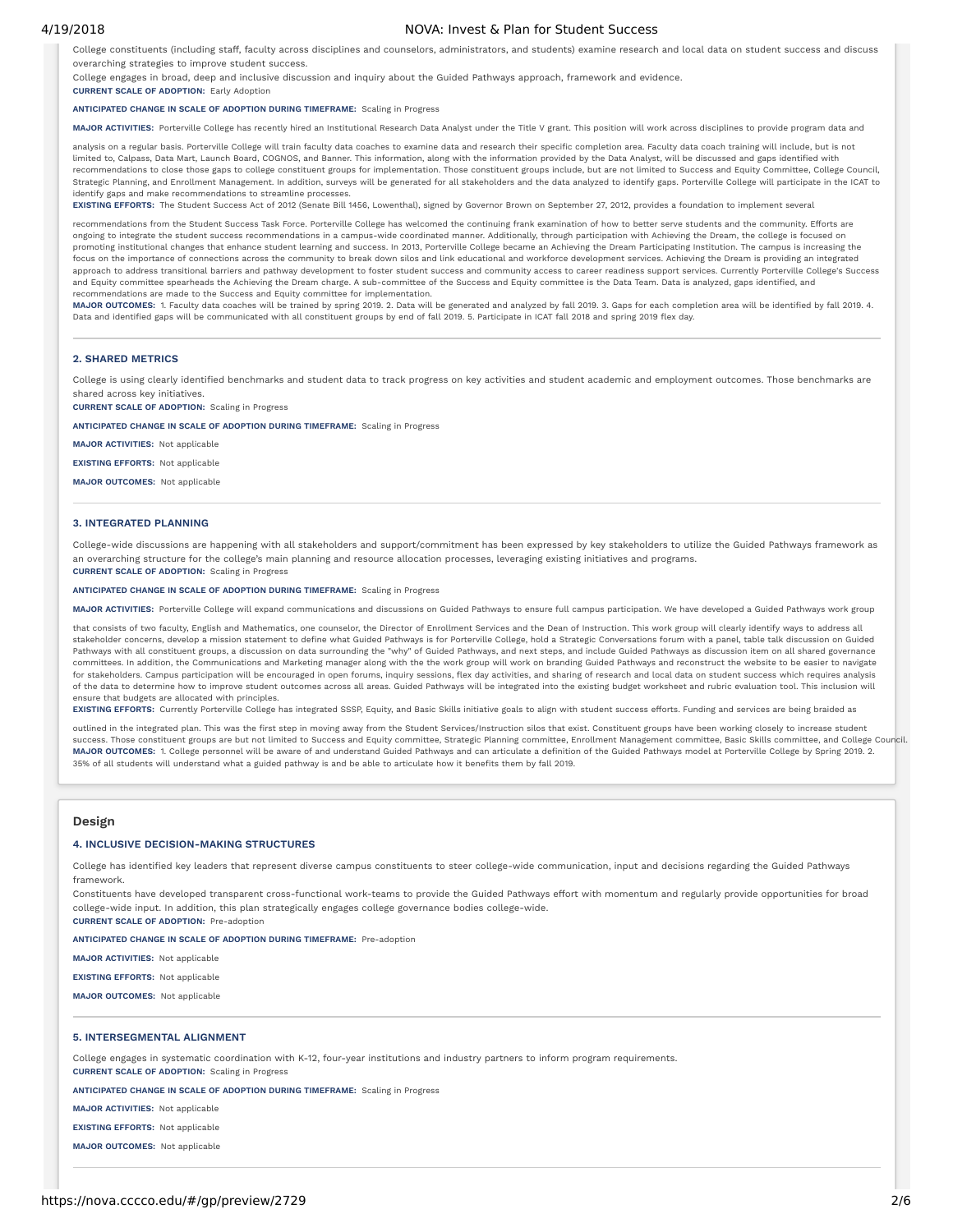### 4/19/2018 NOVA: Invest & Plan for Student Success

College constituents (including staff, faculty across disciplines and counselors, administrators, and students) examine research and local data on student success and discuss overarching strategies to improve student success.

College engages in broad, deep and inclusive discussion and inquiry about the Guided Pathways approach, framework and evidence.

#### **ANTICIPATED CHANGE IN SCALE OF ADOPTION DURING TIMEFRAME:** Scaling in Progress

**MAJOR ACTIVITIES:** Porterville College has recently hired an Institutional Research Data Analyst under the Title V grant. This position will work across disciplines to provide program data and

analysis on a regular basis. Porterville College will train faculty data coaches to examine data and research their specific completion area. Faculty data coach training will include, but is not limited to, Calpass, Data Mart, Launch Board, COGNOS, and Banner. This information, along with the information provided by the Data Analyst, will be discussed and gaps identied with recommendations to close those gaps to college constituent groups for implementation. Those constituent groups include, but are not limited to Success and Equity Committee, College Council, Strategic Planning, and Enrollment Management. In addition, surveys will be generated for all stakeholders and the data analyzed to identify gaps. Porterville College will participate in the ICAT to identify gaps and make recommendations to streamline processes.

**EXISTING EFFORTS:** The Student Success Act of 2012 (Senate Bill 1456, Lowenthal), signed by Governor Brown on September 27, 2012, provides a foundation to implement several

recommendations from the Student Success Task Force. Porterville College has welcomed the continuing frank examination of how to better serve students and the community. Efforts are ongoing to integrate the student success recommendations in a campus-wide coordinated manner. Additionally, through participation with Achieving the Dream, the college is focused on promoting institutional changes that enhance student learning and success. In 2013, Porterville College became an Achieving the Dream Participating Institution. The campus is increasing the focus on the importance of connections across the community to break down silos and link educational and workforce development services. Achieving the Dream is providing an integrated approach to address transitional barriers and pathway development to foster student success and community access to career readiness support services. Currently Porterville College's Success and Equity committee spearheads the Achieving the Dream charge. A sub-committee of the Success and Equity committee is the Data Team. Data is analyzed, gaps identied, and recommendations are made to the Success and Equity committee for implementation.

MAJOR OUTCOMES: 1. Faculty data coaches will be trained by spring 2019. 2. Data will be generated and analyzed by fall 2019. 3. Gaps for each completion area will be identified by fall 2019. 4. Data and identified gaps will be communicated with all constituent groups by end of fall 2019. 5. Participate in ICAT fall 2018 and spring 2019 flex day.

#### **2. SHARED METRICS**

College is using clearly identified benchmarks and student data to track progress on key activities and student academic and employment outcomes. Those benchmarks are shared across key initiatives.

**CURRENT SCALE OF ADOPTION:** Scaling in Progress

**CURRENT SCALE OF ADOPTION:** Early Adoption

**ANTICIPATED CHANGE IN SCALE OF ADOPTION DURING TIMEFRAME:** Scaling in Progress

**MAJOR ACTIVITIES:** Not applicable

**EXISTING EFFORTS:** Not applicable

**MAJOR OUTCOMES:** Not applicable

#### **3. INTEGRATED PLANNING**

College-wide discussions are happening with all stakeholders and support/commitment has been expressed by key stakeholders to utilize the Guided Pathways framework as an overarching structure for the college's main planning and resource allocation processes, leveraging existing initiatives and programs. **CURRENT SCALE OF ADOPTION:** Scaling in Progress

#### **ANTICIPATED CHANGE IN SCALE OF ADOPTION DURING TIMEFRAME:** Scaling in Progress

**MAJOR ACTIVITIES:** Porterville College will expand communications and discussions on Guided Pathways to ensure full campus participation. We have developed a Guided Pathways work group

that consists of two faculty, English and Mathematics, one counselor, the Director of Enrollment Services and the Dean of Instruction. This work group will clearly identify ways to address all stakeholder concerns, develop a mission statement to define what Guided Pathways is for Porterville College, hold a Strategic Conversations forum with a panel, table talk discussion on Guided Pathways with all constituent groups, a discussion on data surrounding the "why" of Guided Pathways, and next steps, and include Guided Pathways as discussion item on all shared governance committees. In addition, the Communications and Marketing manager along with the the work group will work on branding Guided Pathways and reconstruct the website to be easier to navigate for stakeholders. Campus participation will be encouraged in open forums, inquiry sessions, flex day activities, and sharing of research and local data on student success which requires analysis of the data to determine how to improve student outcomes across all areas. Guided Pathways will be integrated into the existing budget worksheet and rubric evaluation tool. This inclusion will ensure that budgets are allocated with principles.

**EXISTING EFFORTS:** Currently Porterville College has integrated SSSP, Equity, and Basic Skills initiative goals to align with student success efforts. Funding and services are being braided as

outlined in the integrated plan. This was the first step in moving away from the Student Services/Instruction silos that exist. Constituent groups have been working closely to increase student success. Those constituent groups are but not limited to Success and Equity committee, Strategic Planning committee, Enrollment Management committee, Basic Skills committee, and College Council. **MAJOR OUTCOMES:** 1. College personnel will be aware of and understand Guided Pathways and can articulate a denition of the Guided Pathways model at Porterville College by Spring 2019. 2. 35% of all students will understand what a guided pathway is and be able to articulate how it benefits them by fall 2019.

### **Design**

#### **4. INCLUSIVE DECISION-MAKING STRUCTURES**

College has identified key leaders that represent diverse campus constituents to steer college-wide communication, input and decisions regarding the Guided Pathways framework.

Constituents have developed transparent cross-functional work-teams to provide the Guided Pathways effort with momentum and regularly provide opportunities for broad college-wide input. In addition, this plan strategically engages college governance bodies college-wide. **CURRENT SCALE OF ADOPTION:** Pre-adoption

**ANTICIPATED CHANGE IN SCALE OF ADOPTION DURING TIMEFRAME:** Pre-adoption

**MAJOR ACTIVITIES:** Not applicable

**EXISTING EFFORTS:** Not applicable

**MAJOR OUTCOMES:** Not applicable

#### **5. INTERSEGMENTAL ALIGNMENT**

College engages in systematic coordination with K-12, four-year institutions and industry partners to inform program requirements. **CURRENT SCALE OF ADOPTION:** Scaling in Progress

**ANTICIPATED CHANGE IN SCALE OF ADOPTION DURING TIMEFRAME:** Scaling in Progress

**MAJOR ACTIVITIES:** Not applicable

**EXISTING EFFORTS:** Not applicable

**MAJOR OUTCOMES:** Not applicable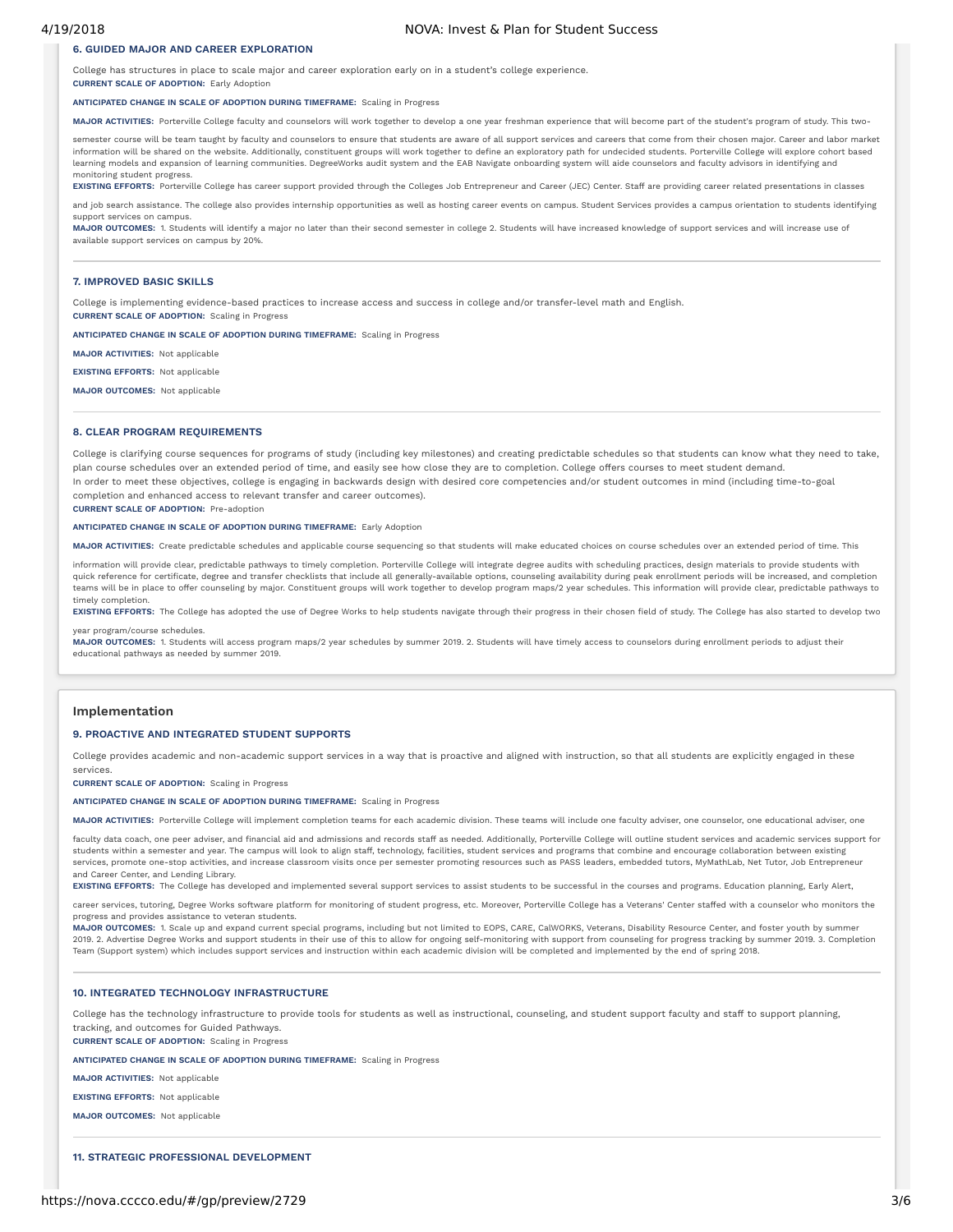### **6. GUIDED MAJOR AND CAREER EXPLORATION**

College has structures in place to scale major and career exploration early on in a student's college experience. **CURRENT SCALE OF ADOPTION:** Early Adoption

**ANTICIPATED CHANGE IN SCALE OF ADOPTION DURING TIMEFRAME:** Scaling in Progress

**MAJOR ACTIVITIES:** Porterville College faculty and counselors will work together to develop a one year freshman experience that will become part of the student's program of study. This two-

semester course will be team taught by faculty and counselors to ensure that students are aware of all support services and careers that come from their chosen major. Career and labor market information will be shared on the website. Additionally, constituent groups will work together to dene an exploratory path for undecided students. Porterville College will explore cohort based learning models and expansion of learning communities. DegreeWorks audit system and the EAB Navigate onboarding system will aide counselors and faculty advisors in identifying and monitoring student progress.

**EXISTING EFFORTS:** Porterville College has career support provided through the Colleges Job Entrepreneur and Career (JEC) Center. Staff are providing career related presentations in classes

and job search assistance. The college also provides internship opportunities as well as hosting career events on campus. Student Services provides a campus orientation to students identifying support services on campus.

MAJOR OUTCOMES: 1. Students will identify a major no later than their second semester in college 2. Students will have increased knowledge of support services and will increase use of available support services on campus by 20%.

#### **7. IMPROVED BASIC SKILLS**

College is implementing evidence-based practices to increase access and success in college and/or transfer-level math and English. **CURRENT SCALE OF ADOPTION:** Scaling in Progress

**ANTICIPATED CHANGE IN SCALE OF ADOPTION DURING TIMEFRAME:** Scaling in Progress

**MAJOR ACTIVITIES:** Not applicable

**EXISTING EFFORTS:** Not applicable

**MAJOR OUTCOMES:** Not applicable

#### **8. CLEAR PROGRAM REQUIREMENTS**

College is clarifying course sequences for programs of study (including key milestones) and creating predictable schedules so that students can know what they need to take, plan course schedules over an extended period of time, and easily see how close they are to completion. College offers courses to meet student demand. In order to meet these objectives, college is engaging in backwards design with desired core competencies and/or student outcomes in mind (including time-to-goal completion and enhanced access to relevant transfer and career outcomes).

**CURRENT SCALE OF ADOPTION:** Pre-adoption

#### **ANTICIPATED CHANGE IN SCALE OF ADOPTION DURING TIMEFRAME:** Early Adoption

**MAJOR ACTIVITIES:** Create predictable schedules and applicable course sequencing so that students will make educated choices on course schedules over an extended period of time. This

information will provide clear, predictable pathways to timely completion. Porterville College will integrate degree audits with scheduling practices, design materials to provide students with quick reference for certificate, degree and transfer checklists that include all generally-available options, counseling availability during peak enrollment periods will be increased, and completion<br>teams will be in place timely completion.

EXISTING EFFORTS: The College has adopted the use of Degree Works to help students navigate through their progress in their chosen field of study. The College has also started to develop two year program/course schedules.

**MAJOR OUTCOMES:** 1. Students will access program maps/2 year schedules by summer 2019. 2. Students will have timely access to counselors during enrollment periods to adjust their educational pathways as needed by summer 2019.

# **Implementation**

### **9. PROACTIVE AND INTEGRATED STUDENT SUPPORTS**

College provides academic and non-academic support services in a way that is proactive and aligned with instruction, so that all students are explicitly engaged in these services.

**CURRENT SCALE OF ADOPTION:** Scaling in Progress

#### **ANTICIPATED CHANGE IN SCALE OF ADOPTION DURING TIMEFRAME:** Scaling in Progress

MAJOR ACTIVITIES: Porterville College will implement completion teams for each academic division. These teams will include one faculty adviser, one counselor, one educational adviser, one

faculty data coach, one peer adviser, and financial aid and admissions and records staff as needed. Additionally, Porterville College will outline student services and academic services support for students within a semester and year. The campus will look to align staff, technology, facilities, student services and programs that combine and encourage collaboration between existing services, promote one-stop activities, and increase classroom visits once per semester promoting resources such as PASS leaders, embedded tutors, MyMathLab, Net Tutor, Job Entrepreneur and Career Center, and Lending Library.

**EXISTING EFFORTS:** The College has developed and implemented several support services to assist students to be successful in the courses and programs. Education planning, Early Alert,

career services, tutoring, Degree Works software platform for monitoring of student progress, etc. Moreover, Porterville College has a Veterans' Center staffed with a counselor who monitors the progress and provides assistance to veteran students.

**MAJOR OUTCOMES:** 1. Scale up and expand current special programs, including but not limited to EOPS, CARE, CalWORKS, Veterans, Disability Resource Center, and foster youth by summer 2019. 2. Advertise Degree Works and support students in their use of this to allow for ongoing self-monitoring with support from counseling for progress tracking by summer 2019. 3. Completion Team (Support system) which includes support services and instruction within each academic division will be completed and implemented by the end of spring 2018.

#### **10. INTEGRATED TECHNOLOGY INFRASTRUCTURE**

College has the technology infrastructure to provide tools for students as well as instructional, counseling, and student support faculty and staff to support planning, tracking, and outcomes for Guided Pathways.

**CURRENT SCALE OF ADOPTION:** Scaling in Progress

**ANTICIPATED CHANGE IN SCALE OF ADOPTION DURING TIMEFRAME:** Scaling in Progress

**MAJOR ACTIVITIES:** Not applicable

**EXISTING EFFORTS:** Not applicable

**MAJOR OUTCOMES:** Not applicable

## **11. STRATEGIC PROFESSIONAL DEVELOPMENT**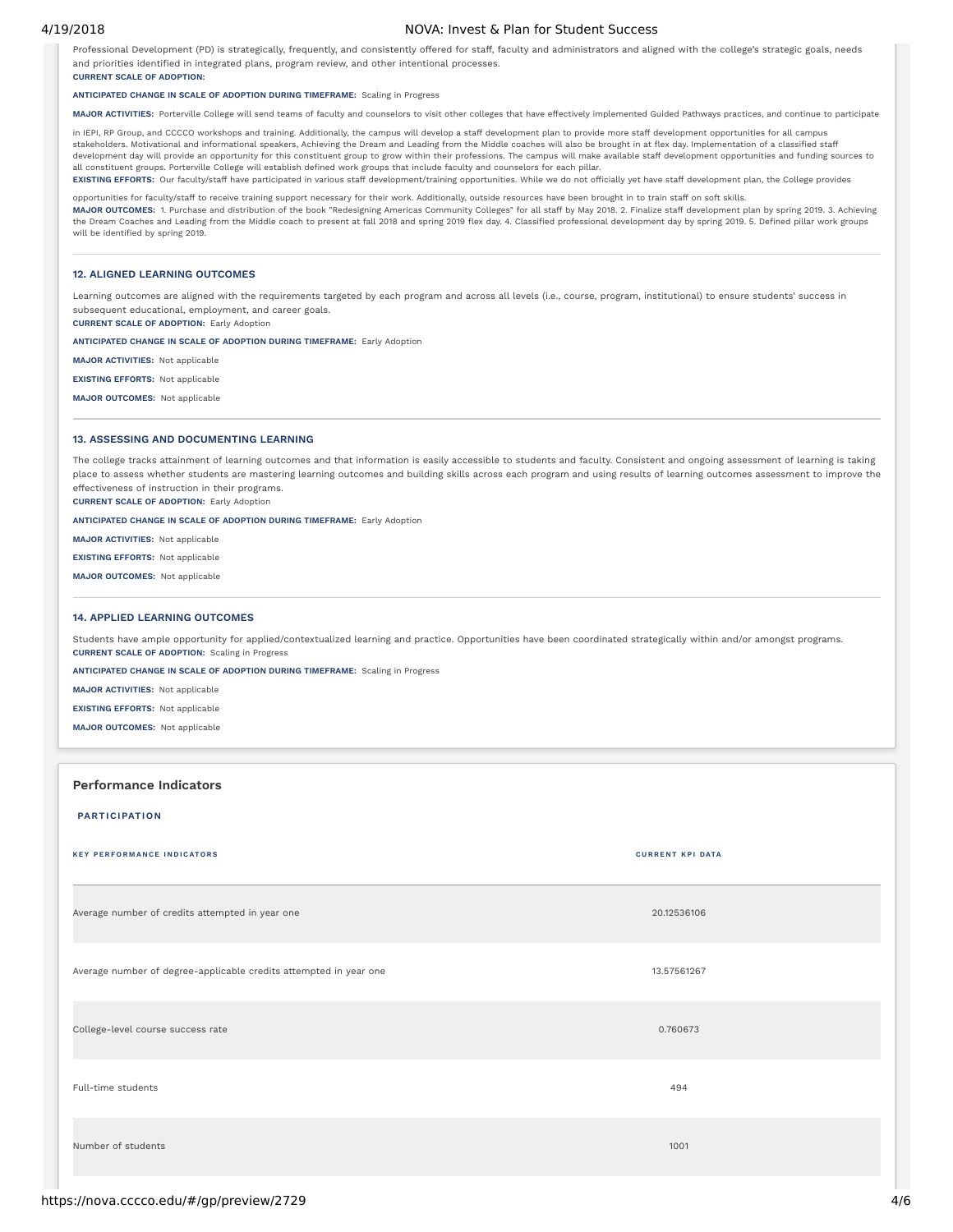# 4/19/2018 NOVA: Invest & Plan for Student Success

Professional Development (PD) is strategically, frequently, and consistently offered for staff, faculty and administrators and aligned with the college's strategic goals, needs and priorities identified in integrated plans, program review, and other intentional processes. **CURRENT SCALE OF ADOPTION:**

# **ANTICIPATED CHANGE IN SCALE OF ADOPTION DURING TIMEFRAME:** Scaling in Progress

**MAJOR ACTIVITIES:** Porterville College will send teams of faculty and counselors to visit other colleges that have effectively implemented Guided Pathways practices, and continue to participate

in IEPI, RP Group, and CCCCO workshops and training. Additionally, the campus will develop a staff development plan to provide more staff development opportunities for all campus stakeholders. Motivational and informational speakers, Achieving the Dream and Leading from the Middle coaches will also be brought in at flex day. Implementation of a classified staff development day will provide an opportunity for this constituent group to grow within their professions. The campus will make available staff development opportunities and funding sources to all constituent groups. Porterville College will establish defined work groups that include faculty and counselors for each pillar. EXISTING EFFORTS: Our faculty/staff have participated in various staff development/training opportunities. While we do not officially yet have staff development plan, the College provides

opportunities for faculty/staff to receive training support necessary for their work. Additionally, outside resources have been brought in to train staff on soft skills. **MAJOR OUTCOMES:** 1. Purchase and distribution of the book "Redesigning Americas Community Colleges" for all staff by May 2018. 2. Finalize staff development plan by spring 2019. 3. Achieving the Dream Coaches and Leading from the Middle coach to present at fall 2018 and spring 2019 flex day. 4. Classified professional development day by spring 2019. 5. Defined pillar work groups will be identified by spring 2019.

# **12. ALIGNED LEARNING OUTCOMES**

Learning outcomes are aligned with the requirements targeted by each program and across all levels (i.e., course, program, institutional) to ensure students' success in subsequent educational, employment, and career goals.

**CURRENT SCALE OF ADOPTION:** Early Adoption

**ANTICIPATED CHANGE IN SCALE OF ADOPTION DURING TIMEFRAME:** Early Adoption

**MAJOR ACTIVITIES:** Not applicable

**EXISTING EFFORTS:** Not applicable

**MAJOR OUTCOMES:** Not applicable

# **13. ASSESSING AND DOCUMENTING LEARNING**

The college tracks attainment of learning outcomes and that information is easily accessible to students and faculty. Consistent and ongoing assessment of learning is taking place to assess whether students are mastering learning outcomes and building skills across each program and using results of learning outcomes assessment to improve the effectiveness of instruction in their programs.

**CURRENT SCALE OF ADOPTION:** Early Adoption

# **ANTICIPATED CHANGE IN SCALE OF ADOPTION DURING TIMEFRAME:** Early Adoption

**MAJOR ACTIVITIES:** Not applicable

**EXISTING EFFORTS:** Not applicable

**MAJOR OUTCOMES:** Not applicable

# **14. APPLIED LEARNING OUTCOMES**

Students have ample opportunity for applied/contextualized learning and practice. Opportunities have been coordinated strategically within and/or amongst programs. **CURRENT SCALE OF ADOPTION:** Scaling in Progress

**ANTICIPATED CHANGE IN SCALE OF ADOPTION DURING TIMEFRAME:** Scaling in Progress

**MAJOR ACTIVITIES:** Not applicable

**EXISTING EFFORTS:** Not applicable

**MAJOR OUTCOMES:** Not applicable

# **Performance Indicators**

## **PARTICIPATION**

| <b>KEY PERFORMANCE INDICATORS</b>                                 | <b>CURRENT KPI DATA</b> |
|-------------------------------------------------------------------|-------------------------|
| Average number of credits attempted in year one                   | 20.12536106             |
| Average number of degree-applicable credits attempted in year one | 13.57561267             |
| College-level course success rate                                 | 0.760673                |
| Full-time students                                                | 494                     |
| Number of students                                                | 1001                    |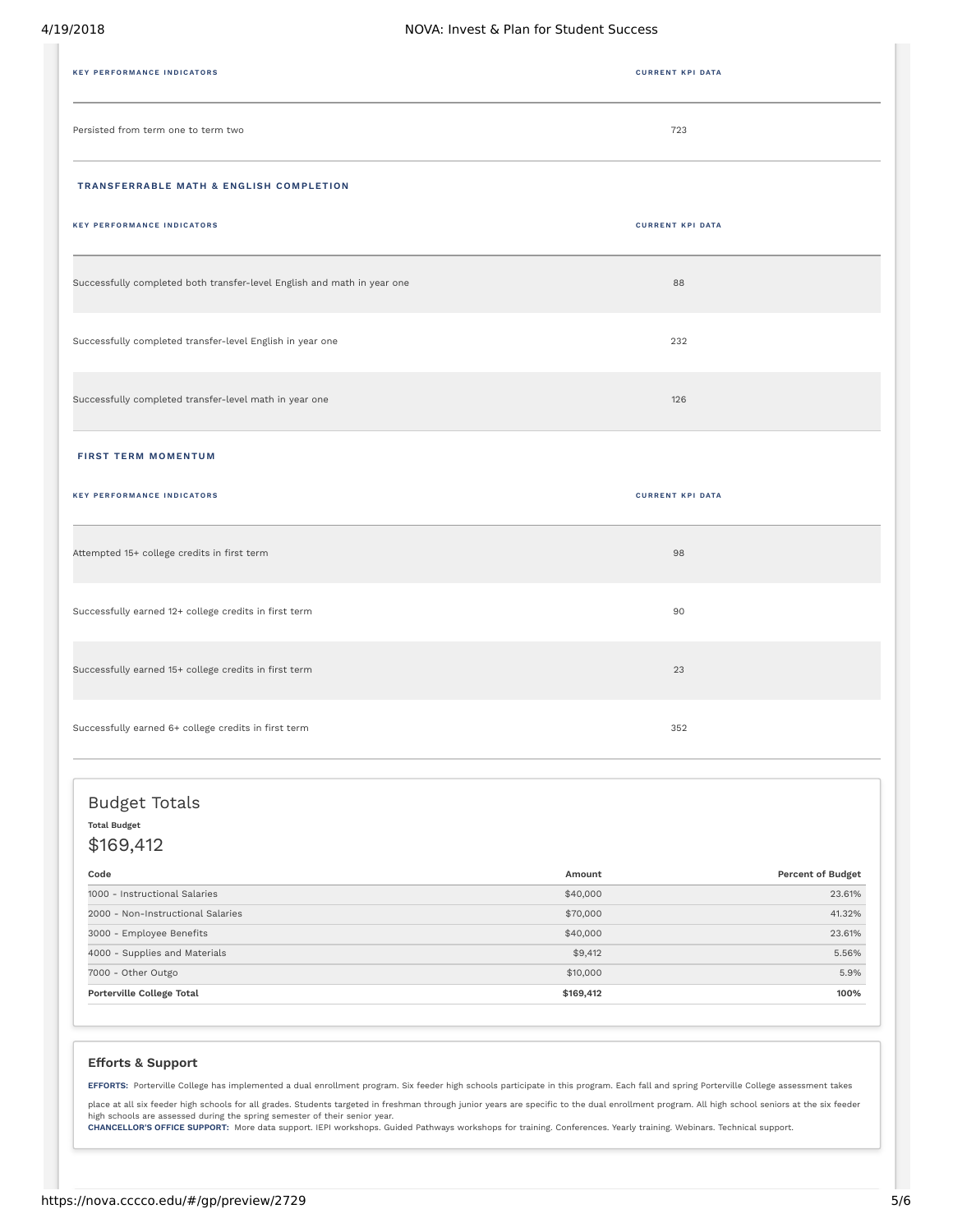| <b>KEY PERFORMANCE INDICATORS</b>                                       | <b>CURRENT KPI DATA</b> |
|-------------------------------------------------------------------------|-------------------------|
| Persisted from term one to term two                                     | 723                     |
| TRANSFERRABLE MATH & ENGLISH COMPLETION                                 |                         |
| <b>KEY PERFORMANCE INDICATORS</b>                                       | <b>CURRENT KPI DATA</b> |
| Successfully completed both transfer-level English and math in year one | 88                      |
| Successfully completed transfer-level English in year one               | 232                     |
| Successfully completed transfer-level math in year one                  | 126                     |
| <b>FIRST TERM MOMENTUM</b>                                              |                         |
| <b>KEY PERFORMANCE INDICATORS</b>                                       | <b>CURRENT KPI DATA</b> |
| Attempted 15+ college credits in first term                             | 98                      |
| Successfully earned 12+ college credits in first term                   | 90                      |
| Successfully earned 15+ college credits in first term                   | 23                      |
| Successfully earned 6+ college credits in first term                    | 352                     |

# Budget Totals **Total Budget**

\$169,412

| Code                              | Amount    | <b>Percent of Budget</b> |
|-----------------------------------|-----------|--------------------------|
| 1000 - Instructional Salaries     | \$40,000  | 23.61%                   |
| 2000 - Non-Instructional Salaries | \$70,000  | 41.32%                   |
| 3000 - Employee Benefits          | \$40,000  | 23.61%                   |
| 4000 - Supplies and Materials     | \$9,412   | 5.56%                    |
| 7000 - Other Outgo                | \$10,000  | 5.9%                     |
| Porterville College Total         | \$169,412 | 100%                     |

# **Efforts & Support**

**EFFORTS:** Porterville College has implemented a dual enrollment program. Six feeder high schools participate in this program. Each fall and spring Porterville College assessment takes

place at all six feeder high schools for all grades. Students targeted in freshman through junior years are specific to the dual enrollment program. All high school seniors at the six feeder

high schools are assessed during the spring semester of their senior year.<br>**CHANCELLOR'S OFFICE SUPPORT:** More data support. IEPI workshops. Guided Pathways workshops for training. Conferences. Yearly training. Webinars. T